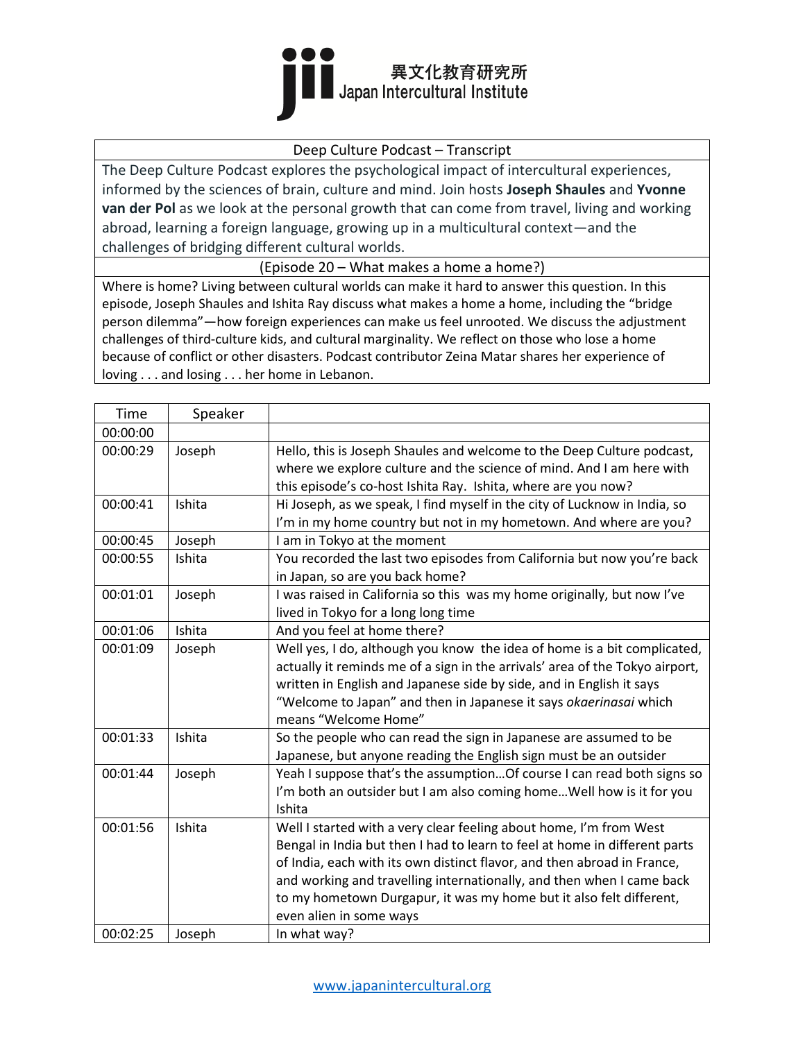

#### Deep Culture Podcast – Transcript

The Deep Culture Podcast explores the psychological impact of intercultural experiences, informed by the sciences of brain, culture and mind. Join hosts **Joseph Shaules** and **Yvonne van der Pol** as we look at the personal growth that can come from travel, living and working abroad, learning a foreign language, growing up in a multicultural context—and the challenges of bridging different cultural worlds.

(Episode 20 – What makes a home a home?)

Where is home? Living between cultural worlds can make it hard to answer this question. In this episode, Joseph Shaules and Ishita Ray discuss what makes a home a home, including the "bridge person dilemma"—how foreign experiences can make us feel unrooted. We discuss the adjustment challenges of third-culture kids, and cultural marginality. We reflect on those who lose a home because of conflict or other disasters. Podcast contributor Zeina Matar shares her experience of loving . . . and losing . . . her home in Lebanon.

| Time     | Speaker |                                                                                                                                                                                                                                                                                                                                                                                                        |
|----------|---------|--------------------------------------------------------------------------------------------------------------------------------------------------------------------------------------------------------------------------------------------------------------------------------------------------------------------------------------------------------------------------------------------------------|
| 00:00:00 |         |                                                                                                                                                                                                                                                                                                                                                                                                        |
| 00:00:29 | Joseph  | Hello, this is Joseph Shaules and welcome to the Deep Culture podcast,<br>where we explore culture and the science of mind. And I am here with<br>this episode's co-host Ishita Ray. Ishita, where are you now?                                                                                                                                                                                        |
| 00:00:41 | Ishita  | Hi Joseph, as we speak, I find myself in the city of Lucknow in India, so<br>I'm in my home country but not in my hometown. And where are you?                                                                                                                                                                                                                                                         |
| 00:00:45 | Joseph  | I am in Tokyo at the moment                                                                                                                                                                                                                                                                                                                                                                            |
| 00:00:55 | Ishita  | You recorded the last two episodes from California but now you're back<br>in Japan, so are you back home?                                                                                                                                                                                                                                                                                              |
| 00:01:01 | Joseph  | I was raised in California so this was my home originally, but now I've<br>lived in Tokyo for a long long time                                                                                                                                                                                                                                                                                         |
| 00:01:06 | Ishita  | And you feel at home there?                                                                                                                                                                                                                                                                                                                                                                            |
| 00:01:09 | Joseph  | Well yes, I do, although you know the idea of home is a bit complicated,<br>actually it reminds me of a sign in the arrivals' area of the Tokyo airport,<br>written in English and Japanese side by side, and in English it says<br>"Welcome to Japan" and then in Japanese it says okaerinasai which<br>means "Welcome Home"                                                                          |
| 00:01:33 | Ishita  | So the people who can read the sign in Japanese are assumed to be<br>Japanese, but anyone reading the English sign must be an outsider                                                                                                                                                                                                                                                                 |
| 00:01:44 | Joseph  | Yeah I suppose that's the assumption Of course I can read both signs so<br>I'm both an outsider but I am also coming home Well how is it for you<br>Ishita                                                                                                                                                                                                                                             |
| 00:01:56 | Ishita  | Well I started with a very clear feeling about home, I'm from West<br>Bengal in India but then I had to learn to feel at home in different parts<br>of India, each with its own distinct flavor, and then abroad in France,<br>and working and travelling internationally, and then when I came back<br>to my hometown Durgapur, it was my home but it also felt different,<br>even alien in some ways |
| 00:02:25 | Joseph  | In what way?                                                                                                                                                                                                                                                                                                                                                                                           |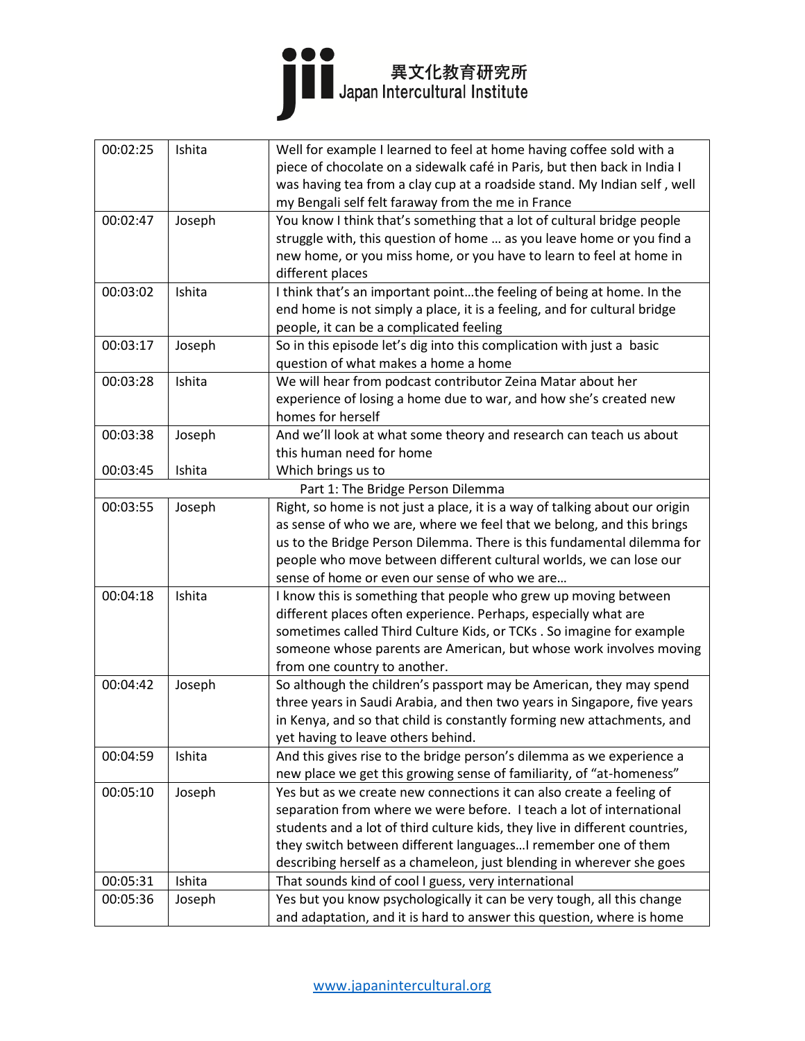

| 00:02:25 | Ishita | Well for example I learned to feel at home having coffee sold with a        |
|----------|--------|-----------------------------------------------------------------------------|
|          |        | piece of chocolate on a sidewalk café in Paris, but then back in India I    |
|          |        | was having tea from a clay cup at a roadside stand. My Indian self, well    |
|          |        | my Bengali self felt faraway from the me in France                          |
| 00:02:47 | Joseph | You know I think that's something that a lot of cultural bridge people      |
|          |        | struggle with, this question of home  as you leave home or you find a       |
|          |        | new home, or you miss home, or you have to learn to feel at home in         |
|          |        | different places                                                            |
| 00:03:02 | Ishita | I think that's an important pointthe feeling of being at home. In the       |
|          |        | end home is not simply a place, it is a feeling, and for cultural bridge    |
|          |        | people, it can be a complicated feeling                                     |
| 00:03:17 | Joseph | So in this episode let's dig into this complication with just a basic       |
|          |        | question of what makes a home a home                                        |
| 00:03:28 | Ishita | We will hear from podcast contributor Zeina Matar about her                 |
|          |        | experience of losing a home due to war, and how she's created new           |
|          |        | homes for herself                                                           |
| 00:03:38 | Joseph | And we'll look at what some theory and research can teach us about          |
|          |        | this human need for home                                                    |
| 00:03:45 | Ishita | Which brings us to                                                          |
|          |        | Part 1: The Bridge Person Dilemma                                           |
| 00:03:55 | Joseph | Right, so home is not just a place, it is a way of talking about our origin |
|          |        | as sense of who we are, where we feel that we belong, and this brings       |
|          |        | us to the Bridge Person Dilemma. There is this fundamental dilemma for      |
|          |        | people who move between different cultural worlds, we can lose our          |
|          |        | sense of home or even our sense of who we are                               |
| 00:04:18 | Ishita | I know this is something that people who grew up moving between             |
|          |        | different places often experience. Perhaps, especially what are             |
|          |        | sometimes called Third Culture Kids, or TCKs . So imagine for example       |
|          |        | someone whose parents are American, but whose work involves moving          |
|          |        | from one country to another.                                                |
| 00:04:42 | Joseph | So although the children's passport may be American, they may spend         |
|          |        | three years in Saudi Arabia, and then two years in Singapore, five years    |
|          |        | in Kenya, and so that child is constantly forming new attachments, and      |
|          |        | yet having to leave others behind.                                          |
| 00:04:59 | Ishita | And this gives rise to the bridge person's dilemma as we experience a       |
|          |        | new place we get this growing sense of familiarity, of "at-homeness"        |
| 00:05:10 | Joseph | Yes but as we create new connections it can also create a feeling of        |
|          |        | separation from where we were before. I teach a lot of international        |
|          |        | students and a lot of third culture kids, they live in different countries, |
|          |        | they switch between different languages I remember one of them              |
|          |        | describing herself as a chameleon, just blending in wherever she goes       |
| 00:05:31 | Ishita | That sounds kind of cool I guess, very international                        |
| 00:05:36 | Joseph | Yes but you know psychologically it can be very tough, all this change      |
|          |        | and adaptation, and it is hard to answer this question, where is home       |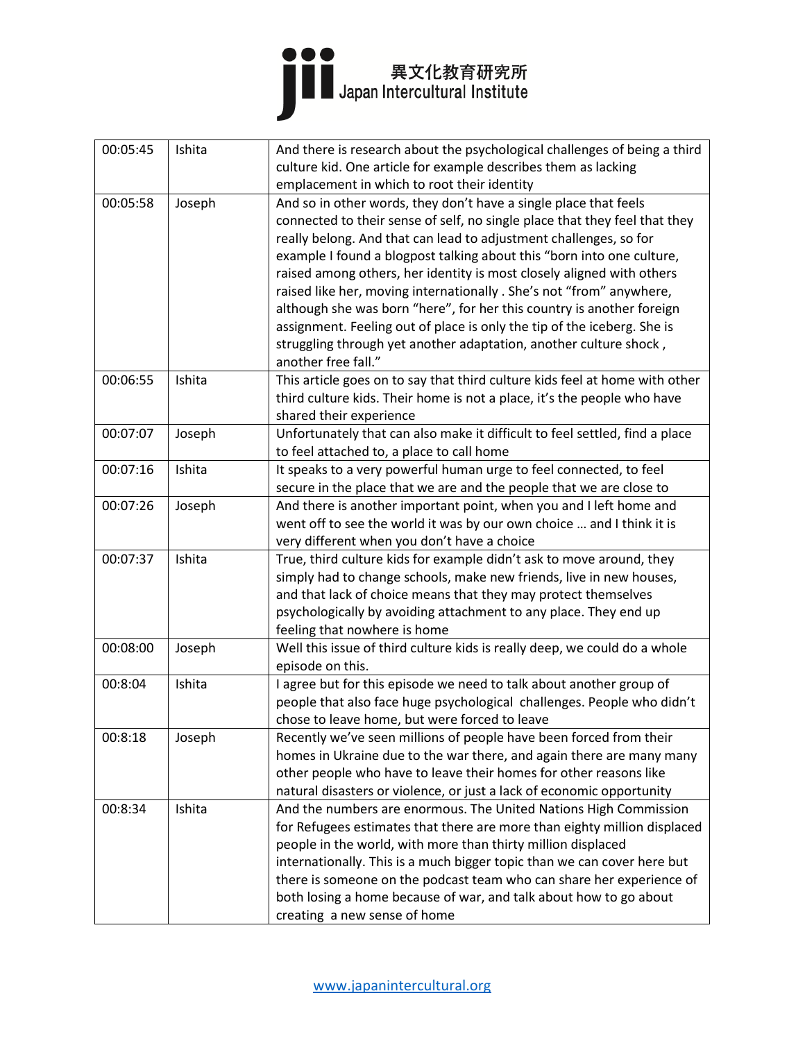| 00:05:45 | Ishita | And there is research about the psychological challenges of being a third   |
|----------|--------|-----------------------------------------------------------------------------|
|          |        | culture kid. One article for example describes them as lacking              |
|          |        | emplacement in which to root their identity                                 |
| 00:05:58 | Joseph | And so in other words, they don't have a single place that feels            |
|          |        | connected to their sense of self, no single place that they feel that they  |
|          |        | really belong. And that can lead to adjustment challenges, so for           |
|          |        | example I found a blogpost talking about this "born into one culture,       |
|          |        | raised among others, her identity is most closely aligned with others       |
|          |        | raised like her, moving internationally . She's not "from" anywhere,        |
|          |        | although she was born "here", for her this country is another foreign       |
|          |        | assignment. Feeling out of place is only the tip of the iceberg. She is     |
|          |        | struggling through yet another adaptation, another culture shock,           |
|          |        | another free fall."                                                         |
| 00:06:55 | Ishita | This article goes on to say that third culture kids feel at home with other |
|          |        | third culture kids. Their home is not a place, it's the people who have     |
|          |        | shared their experience                                                     |
| 00:07:07 | Joseph | Unfortunately that can also make it difficult to feel settled, find a place |
|          |        | to feel attached to, a place to call home                                   |
| 00:07:16 | Ishita | It speaks to a very powerful human urge to feel connected, to feel          |
|          |        | secure in the place that we are and the people that we are close to         |
| 00:07:26 | Joseph | And there is another important point, when you and I left home and          |
|          |        | went off to see the world it was by our own choice  and I think it is       |
|          |        | very different when you don't have a choice                                 |
| 00:07:37 | Ishita | True, third culture kids for example didn't ask to move around, they        |
|          |        | simply had to change schools, make new friends, live in new houses,         |
|          |        | and that lack of choice means that they may protect themselves              |
|          |        | psychologically by avoiding attachment to any place. They end up            |
|          |        | feeling that nowhere is home                                                |
| 00:08:00 | Joseph | Well this issue of third culture kids is really deep, we could do a whole   |
|          |        | episode on this.                                                            |
| 00:8:04  | Ishita | I agree but for this episode we need to talk about another group of         |
|          |        | people that also face huge psychological challenges. People who didn't      |
|          |        | chose to leave home, but were forced to leave                               |
| 00:8:18  | Joseph | Recently we've seen millions of people have been forced from their          |
|          |        | homes in Ukraine due to the war there, and again there are many many        |
|          |        | other people who have to leave their homes for other reasons like           |
|          |        | natural disasters or violence, or just a lack of economic opportunity       |
| 00:8:34  | Ishita | And the numbers are enormous. The United Nations High Commission            |
|          |        | for Refugees estimates that there are more than eighty million displaced    |
|          |        | people in the world, with more than thirty million displaced                |
|          |        | internationally. This is a much bigger topic than we can cover here but     |
|          |        | there is someone on the podcast team who can share her experience of        |
|          |        | both losing a home because of war, and talk about how to go about           |
|          |        | creating a new sense of home                                                |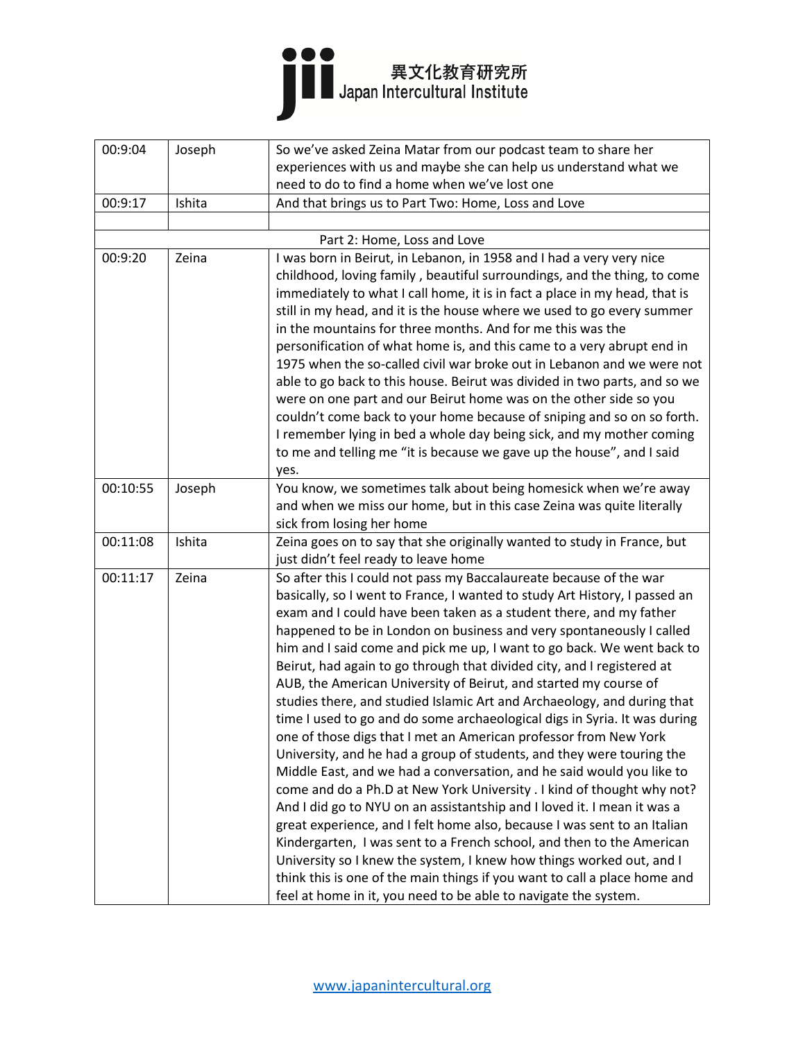

| 00:9:04  | Joseph | So we've asked Zeina Matar from our podcast team to share her              |
|----------|--------|----------------------------------------------------------------------------|
|          |        | experiences with us and maybe she can help us understand what we           |
|          |        | need to do to find a home when we've lost one                              |
| 00:9:17  | Ishita | And that brings us to Part Two: Home, Loss and Love                        |
|          |        |                                                                            |
|          |        | Part 2: Home, Loss and Love                                                |
| 00:9:20  | Zeina  | I was born in Beirut, in Lebanon, in 1958 and I had a very very nice       |
|          |        | childhood, loving family, beautiful surroundings, and the thing, to come   |
|          |        | immediately to what I call home, it is in fact a place in my head, that is |
|          |        | still in my head, and it is the house where we used to go every summer     |
|          |        | in the mountains for three months. And for me this was the                 |
|          |        | personification of what home is, and this came to a very abrupt end in     |
|          |        | 1975 when the so-called civil war broke out in Lebanon and we were not     |
|          |        | able to go back to this house. Beirut was divided in two parts, and so we  |
|          |        | were on one part and our Beirut home was on the other side so you          |
|          |        | couldn't come back to your home because of sniping and so on so forth.     |
|          |        | I remember lying in bed a whole day being sick, and my mother coming       |
|          |        | to me and telling me "it is because we gave up the house", and I said      |
|          |        | yes.                                                                       |
| 00:10:55 | Joseph | You know, we sometimes talk about being homesick when we're away           |
|          |        | and when we miss our home, but in this case Zeina was quite literally      |
|          |        | sick from losing her home                                                  |
| 00:11:08 | Ishita | Zeina goes on to say that she originally wanted to study in France, but    |
|          |        | just didn't feel ready to leave home                                       |
| 00:11:17 | Zeina  | So after this I could not pass my Baccalaureate because of the war         |
|          |        | basically, so I went to France, I wanted to study Art History, I passed an |
|          |        | exam and I could have been taken as a student there, and my father         |
|          |        | happened to be in London on business and very spontaneously I called       |
|          |        | him and I said come and pick me up, I want to go back. We went back to     |
|          |        | Beirut, had again to go through that divided city, and I registered at     |
|          |        | AUB, the American University of Beirut, and started my course of           |
|          |        | studies there, and studied Islamic Art and Archaeology, and during that    |
|          |        | time I used to go and do some archaeological digs in Syria. It was during  |
|          |        | one of those digs that I met an American professor from New York           |
|          |        | University, and he had a group of students, and they were touring the      |
|          |        | Middle East, and we had a conversation, and he said would you like to      |
|          |        | come and do a Ph.D at New York University . I kind of thought why not?     |
|          |        | And I did go to NYU on an assistantship and I loved it. I mean it was a    |
|          |        | great experience, and I felt home also, because I was sent to an Italian   |
|          |        | Kindergarten, I was sent to a French school, and then to the American      |
|          |        | University so I knew the system, I knew how things worked out, and I       |
|          |        | think this is one of the main things if you want to call a place home and  |
|          |        | feel at home in it, you need to be able to navigate the system.            |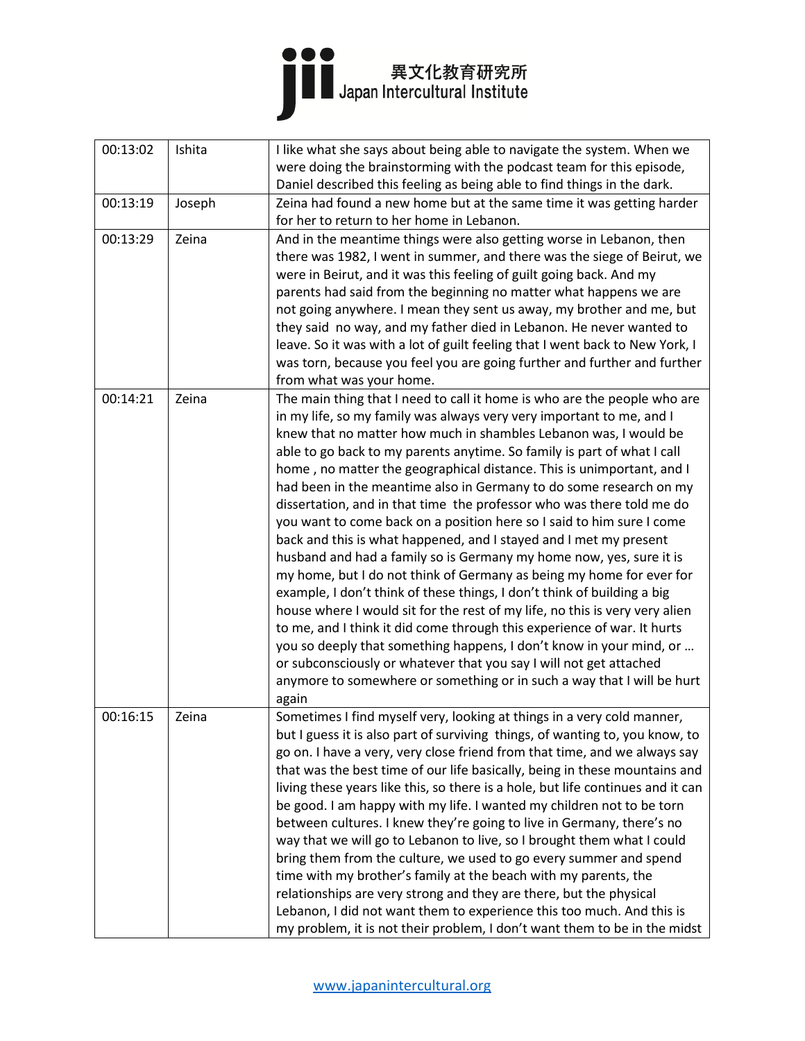| 00:13:02 | Ishita | I like what she says about being able to navigate the system. When we<br>were doing the brainstorming with the podcast team for this episode,                                                                                                                                                                                                                                                                                                                                                                                                                                                                                                                                                                                                                                                                                                                                                                                                                                                                                                                                                                                                                                                                                                                                             |
|----------|--------|-------------------------------------------------------------------------------------------------------------------------------------------------------------------------------------------------------------------------------------------------------------------------------------------------------------------------------------------------------------------------------------------------------------------------------------------------------------------------------------------------------------------------------------------------------------------------------------------------------------------------------------------------------------------------------------------------------------------------------------------------------------------------------------------------------------------------------------------------------------------------------------------------------------------------------------------------------------------------------------------------------------------------------------------------------------------------------------------------------------------------------------------------------------------------------------------------------------------------------------------------------------------------------------------|
|          |        | Daniel described this feeling as being able to find things in the dark.                                                                                                                                                                                                                                                                                                                                                                                                                                                                                                                                                                                                                                                                                                                                                                                                                                                                                                                                                                                                                                                                                                                                                                                                                   |
| 00:13:19 | Joseph | Zeina had found a new home but at the same time it was getting harder                                                                                                                                                                                                                                                                                                                                                                                                                                                                                                                                                                                                                                                                                                                                                                                                                                                                                                                                                                                                                                                                                                                                                                                                                     |
|          |        | for her to return to her home in Lebanon.                                                                                                                                                                                                                                                                                                                                                                                                                                                                                                                                                                                                                                                                                                                                                                                                                                                                                                                                                                                                                                                                                                                                                                                                                                                 |
| 00:13:29 | Zeina  | And in the meantime things were also getting worse in Lebanon, then<br>there was 1982, I went in summer, and there was the siege of Beirut, we<br>were in Beirut, and it was this feeling of guilt going back. And my<br>parents had said from the beginning no matter what happens we are<br>not going anywhere. I mean they sent us away, my brother and me, but<br>they said no way, and my father died in Lebanon. He never wanted to<br>leave. So it was with a lot of guilt feeling that I went back to New York, I<br>was torn, because you feel you are going further and further and further<br>from what was your home.                                                                                                                                                                                                                                                                                                                                                                                                                                                                                                                                                                                                                                                         |
| 00:14:21 | Zeina  | The main thing that I need to call it home is who are the people who are<br>in my life, so my family was always very very important to me, and I<br>knew that no matter how much in shambles Lebanon was, I would be<br>able to go back to my parents anytime. So family is part of what I call<br>home, no matter the geographical distance. This is unimportant, and I<br>had been in the meantime also in Germany to do some research on my<br>dissertation, and in that time the professor who was there told me do<br>you want to come back on a position here so I said to him sure I come<br>back and this is what happened, and I stayed and I met my present<br>husband and had a family so is Germany my home now, yes, sure it is<br>my home, but I do not think of Germany as being my home for ever for<br>example, I don't think of these things, I don't think of building a big<br>house where I would sit for the rest of my life, no this is very very alien<br>to me, and I think it did come through this experience of war. It hurts<br>you so deeply that something happens, I don't know in your mind, or<br>or subconsciously or whatever that you say I will not get attached<br>anymore to somewhere or something or in such a way that I will be hurt<br>again |
| 00:16:15 | Zeina  | Sometimes I find myself very, looking at things in a very cold manner,<br>but I guess it is also part of surviving things, of wanting to, you know, to<br>go on. I have a very, very close friend from that time, and we always say<br>that was the best time of our life basically, being in these mountains and<br>living these years like this, so there is a hole, but life continues and it can<br>be good. I am happy with my life. I wanted my children not to be torn<br>between cultures. I knew they're going to live in Germany, there's no<br>way that we will go to Lebanon to live, so I brought them what I could<br>bring them from the culture, we used to go every summer and spend<br>time with my brother's family at the beach with my parents, the<br>relationships are very strong and they are there, but the physical<br>Lebanon, I did not want them to experience this too much. And this is<br>my problem, it is not their problem, I don't want them to be in the midst                                                                                                                                                                                                                                                                                      |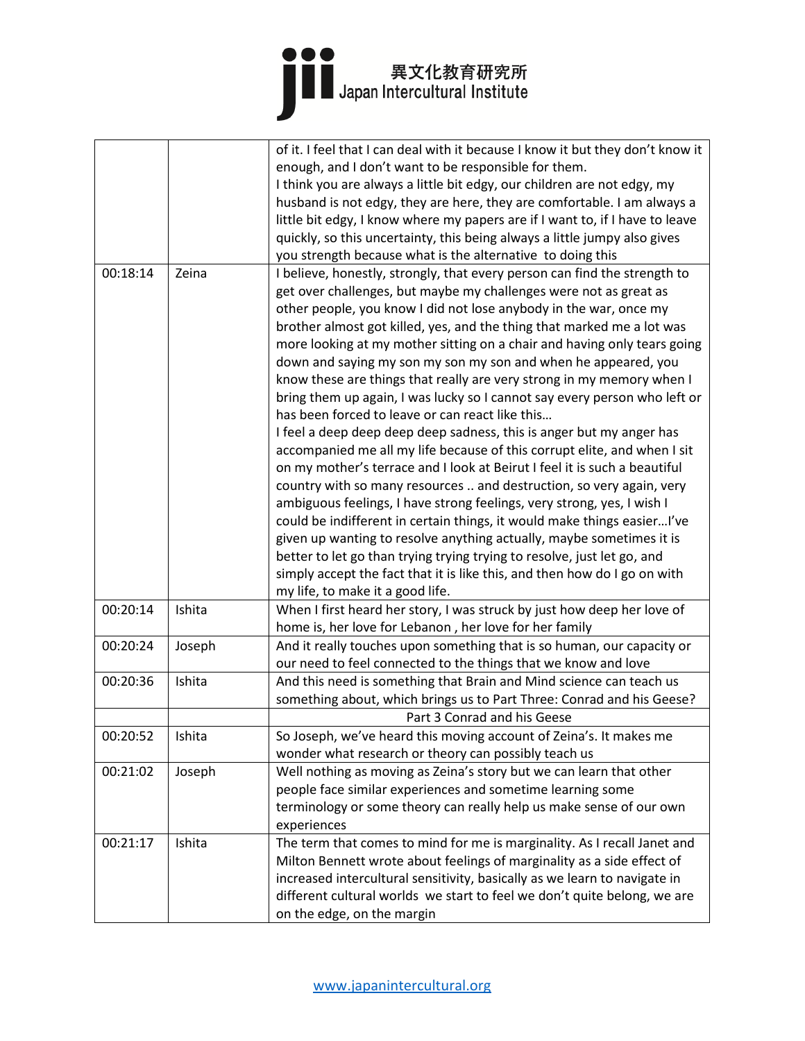|          |        | of it. I feel that I can deal with it because I know it but they don't know it |
|----------|--------|--------------------------------------------------------------------------------|
|          |        | enough, and I don't want to be responsible for them.                           |
|          |        | I think you are always a little bit edgy, our children are not edgy, my        |
|          |        | husband is not edgy, they are here, they are comfortable. I am always a        |
|          |        | little bit edgy, I know where my papers are if I want to, if I have to leave   |
|          |        | quickly, so this uncertainty, this being always a little jumpy also gives      |
|          |        |                                                                                |
|          |        | you strength because what is the alternative to doing this                     |
| 00:18:14 | Zeina  | I believe, honestly, strongly, that every person can find the strength to      |
|          |        | get over challenges, but maybe my challenges were not as great as              |
|          |        | other people, you know I did not lose anybody in the war, once my              |
|          |        | brother almost got killed, yes, and the thing that marked me a lot was         |
|          |        | more looking at my mother sitting on a chair and having only tears going       |
|          |        | down and saying my son my son my son and when he appeared, you                 |
|          |        | know these are things that really are very strong in my memory when I          |
|          |        | bring them up again, I was lucky so I cannot say every person who left or      |
|          |        | has been forced to leave or can react like this                                |
|          |        | I feel a deep deep deep deep sadness, this is anger but my anger has           |
|          |        | accompanied me all my life because of this corrupt elite, and when I sit       |
|          |        | on my mother's terrace and I look at Beirut I feel it is such a beautiful      |
|          |        | country with so many resources  and destruction, so very again, very           |
|          |        |                                                                                |
|          |        | ambiguous feelings, I have strong feelings, very strong, yes, I wish I         |
|          |        | could be indifferent in certain things, it would make things easierI've        |
|          |        | given up wanting to resolve anything actually, maybe sometimes it is           |
|          |        | better to let go than trying trying trying to resolve, just let go, and        |
|          |        | simply accept the fact that it is like this, and then how do I go on with      |
|          |        | my life, to make it a good life.                                               |
| 00:20:14 | Ishita | When I first heard her story, I was struck by just how deep her love of        |
|          |        | home is, her love for Lebanon, her love for her family                         |
| 00:20:24 | Joseph | And it really touches upon something that is so human, our capacity or         |
|          |        | our need to feel connected to the things that we know and love                 |
| 00:20:36 | Ishita | And this need is something that Brain and Mind science can teach us            |
|          |        | something about, which brings us to Part Three: Conrad and his Geese?          |
|          |        | Part 3 Conrad and his Geese                                                    |
| 00:20:52 | Ishita | So Joseph, we've heard this moving account of Zeina's. It makes me             |
|          |        | wonder what research or theory can possibly teach us                           |
| 00:21:02 | Joseph | Well nothing as moving as Zeina's story but we can learn that other            |
|          |        | people face similar experiences and sometime learning some                     |
|          |        | terminology or some theory can really help us make sense of our own            |
|          |        | experiences                                                                    |
| 00:21:17 | Ishita | The term that comes to mind for me is marginality. As I recall Janet and       |
|          |        | Milton Bennett wrote about feelings of marginality as a side effect of         |
|          |        | increased intercultural sensitivity, basically as we learn to navigate in      |
|          |        | different cultural worlds we start to feel we don't quite belong, we are       |
|          |        | on the edge, on the margin                                                     |
|          |        |                                                                                |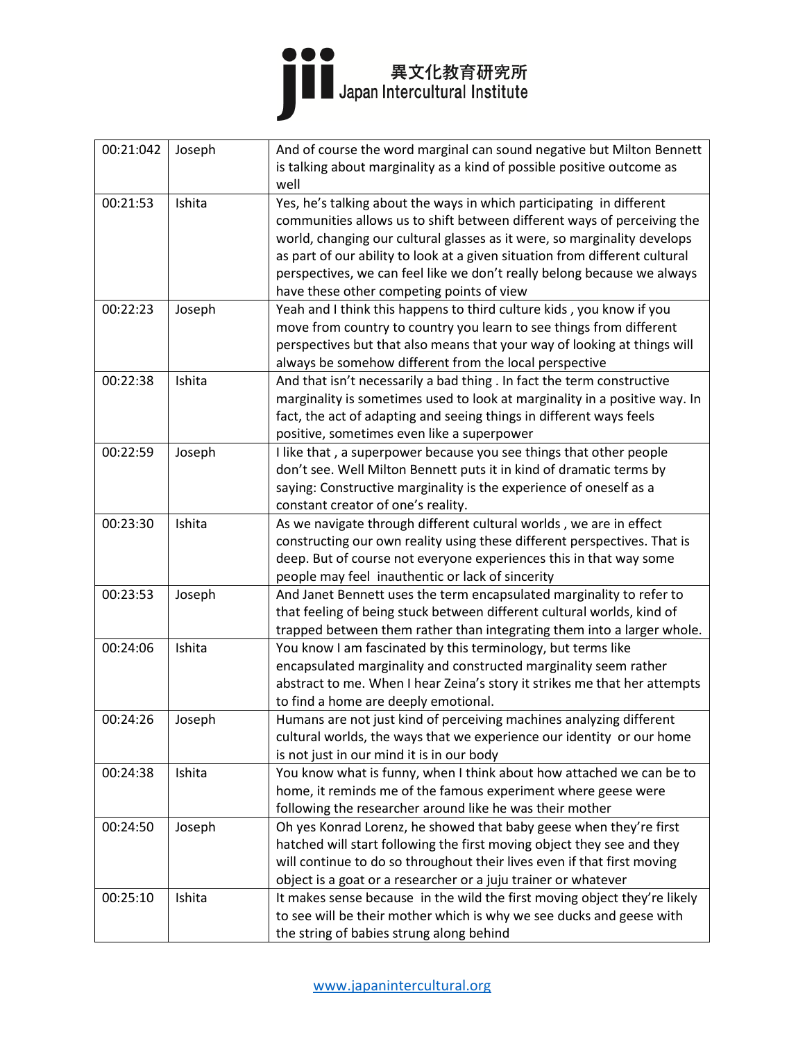| 00:21:042 | Joseph | And of course the word marginal can sound negative but Milton Bennett<br>is talking about marginality as a kind of possible positive outcome as |
|-----------|--------|-------------------------------------------------------------------------------------------------------------------------------------------------|
|           |        | well                                                                                                                                            |
| 00:21:53  | Ishita | Yes, he's talking about the ways in which participating in different                                                                            |
|           |        | communities allows us to shift between different ways of perceiving the                                                                         |
|           |        | world, changing our cultural glasses as it were, so marginality develops                                                                        |
|           |        | as part of our ability to look at a given situation from different cultural                                                                     |
|           |        | perspectives, we can feel like we don't really belong because we always                                                                         |
|           |        | have these other competing points of view                                                                                                       |
| 00:22:23  | Joseph | Yeah and I think this happens to third culture kids, you know if you                                                                            |
|           |        | move from country to country you learn to see things from different                                                                             |
|           |        | perspectives but that also means that your way of looking at things will                                                                        |
|           |        | always be somehow different from the local perspective                                                                                          |
| 00:22:38  | Ishita | And that isn't necessarily a bad thing . In fact the term constructive                                                                          |
|           |        | marginality is sometimes used to look at marginality in a positive way. In                                                                      |
|           |        | fact, the act of adapting and seeing things in different ways feels<br>positive, sometimes even like a superpower                               |
| 00:22:59  | Joseph | I like that, a superpower because you see things that other people                                                                              |
|           |        | don't see. Well Milton Bennett puts it in kind of dramatic terms by                                                                             |
|           |        | saying: Constructive marginality is the experience of oneself as a                                                                              |
|           |        | constant creator of one's reality.                                                                                                              |
| 00:23:30  | Ishita | As we navigate through different cultural worlds, we are in effect                                                                              |
|           |        | constructing our own reality using these different perspectives. That is                                                                        |
|           |        | deep. But of course not everyone experiences this in that way some                                                                              |
|           |        | people may feel inauthentic or lack of sincerity                                                                                                |
| 00:23:53  | Joseph | And Janet Bennett uses the term encapsulated marginality to refer to                                                                            |
|           |        | that feeling of being stuck between different cultural worlds, kind of                                                                          |
|           |        | trapped between them rather than integrating them into a larger whole.                                                                          |
| 00:24:06  | Ishita | You know I am fascinated by this terminology, but terms like                                                                                    |
|           |        | encapsulated marginality and constructed marginality seem rather                                                                                |
|           |        | abstract to me. When I hear Zeina's story it strikes me that her attempts                                                                       |
|           |        | to find a home are deeply emotional.                                                                                                            |
| 00:24:26  | Joseph | Humans are not just kind of perceiving machines analyzing different                                                                             |
|           |        | cultural worlds, the ways that we experience our identity or our home                                                                           |
|           |        | is not just in our mind it is in our body                                                                                                       |
| 00:24:38  | Ishita | You know what is funny, when I think about how attached we can be to                                                                            |
|           |        | home, it reminds me of the famous experiment where geese were                                                                                   |
|           |        | following the researcher around like he was their mother                                                                                        |
| 00:24:50  | Joseph | Oh yes Konrad Lorenz, he showed that baby geese when they're first                                                                              |
|           |        | hatched will start following the first moving object they see and they                                                                          |
|           |        | will continue to do so throughout their lives even if that first moving                                                                         |
|           | Ishita | object is a goat or a researcher or a juju trainer or whatever                                                                                  |
| 00:25:10  |        | It makes sense because in the wild the first moving object they're likely                                                                       |
|           |        | to see will be their mother which is why we see ducks and geese with<br>the string of babies strung along behind                                |
|           |        |                                                                                                                                                 |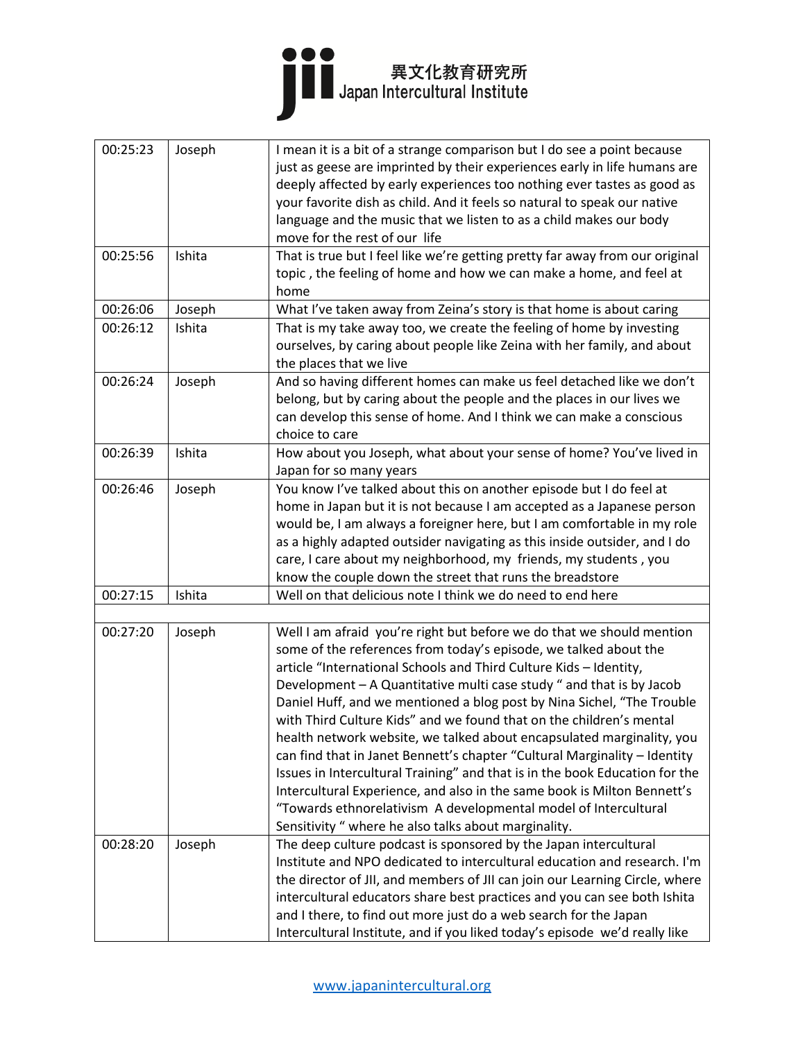

| 00:25:23 | Joseph | I mean it is a bit of a strange comparison but I do see a point because<br>just as geese are imprinted by their experiences early in life humans are |
|----------|--------|------------------------------------------------------------------------------------------------------------------------------------------------------|
|          |        | deeply affected by early experiences too nothing ever tastes as good as                                                                              |
|          |        | your favorite dish as child. And it feels so natural to speak our native                                                                             |
|          |        | language and the music that we listen to as a child makes our body                                                                                   |
|          |        | move for the rest of our life                                                                                                                        |
| 00:25:56 | Ishita | That is true but I feel like we're getting pretty far away from our original                                                                         |
|          |        | topic, the feeling of home and how we can make a home, and feel at                                                                                   |
|          |        | home                                                                                                                                                 |
| 00:26:06 | Joseph | What I've taken away from Zeina's story is that home is about caring                                                                                 |
| 00:26:12 | Ishita | That is my take away too, we create the feeling of home by investing                                                                                 |
|          |        | ourselves, by caring about people like Zeina with her family, and about                                                                              |
|          |        | the places that we live                                                                                                                              |
| 00:26:24 | Joseph | And so having different homes can make us feel detached like we don't                                                                                |
|          |        | belong, but by caring about the people and the places in our lives we                                                                                |
|          |        | can develop this sense of home. And I think we can make a conscious                                                                                  |
|          |        | choice to care                                                                                                                                       |
| 00:26:39 | Ishita | How about you Joseph, what about your sense of home? You've lived in                                                                                 |
|          |        | Japan for so many years                                                                                                                              |
| 00:26:46 | Joseph | You know I've talked about this on another episode but I do feel at                                                                                  |
|          |        | home in Japan but it is not because I am accepted as a Japanese person                                                                               |
|          |        | would be, I am always a foreigner here, but I am comfortable in my role                                                                              |
|          |        | as a highly adapted outsider navigating as this inside outsider, and I do                                                                            |
|          |        | care, I care about my neighborhood, my friends, my students, you                                                                                     |
|          |        | know the couple down the street that runs the breadstore                                                                                             |
| 00:27:15 | Ishita | Well on that delicious note I think we do need to end here                                                                                           |
|          |        |                                                                                                                                                      |
| 00:27:20 | Joseph | Well I am afraid you're right but before we do that we should mention                                                                                |
|          |        | some of the references from today's episode, we talked about the                                                                                     |
|          |        | article "International Schools and Third Culture Kids - Identity,                                                                                    |
|          |        | Development - A Quantitative multi case study " and that is by Jacob                                                                                 |
|          |        | Daniel Huff, and we mentioned a blog post by Nina Sichel, "The Trouble                                                                               |
|          |        | with Third Culture Kids" and we found that on the children's mental                                                                                  |
|          |        | health network website, we talked about encapsulated marginality, you                                                                                |
|          |        | can find that in Janet Bennett's chapter "Cultural Marginality - Identity                                                                            |
|          |        | Issues in Intercultural Training" and that is in the book Education for the                                                                          |
|          |        | Intercultural Experience, and also in the same book is Milton Bennett's                                                                              |
|          |        | "Towards ethnorelativism A developmental model of Intercultural                                                                                      |
|          |        | Sensitivity " where he also talks about marginality.                                                                                                 |
| 00:28:20 | Joseph | The deep culture podcast is sponsored by the Japan intercultural                                                                                     |
|          |        | Institute and NPO dedicated to intercultural education and research. I'm                                                                             |
|          |        | the director of JII, and members of JII can join our Learning Circle, where                                                                          |
|          |        | intercultural educators share best practices and you can see both Ishita                                                                             |
|          |        | and I there, to find out more just do a web search for the Japan                                                                                     |
|          |        | Intercultural Institute, and if you liked today's episode we'd really like                                                                           |